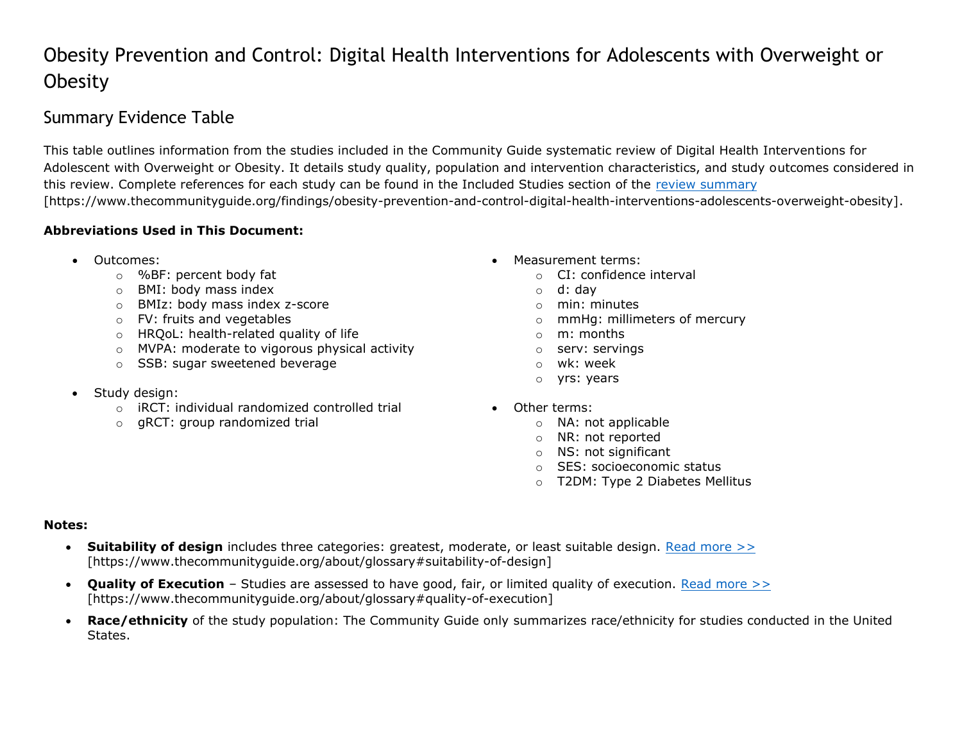## Obesity Prevention and Control: Digital Health Interventions for Adolescents with Overweight or **Obesity**

## Summary Evidence Table

This table outlines information from the studies included in the Community Guide systematic review of Digital Health Interventions for Adolescent with Overweight or Obesity. It details study quality, population and intervention characteristics, and study outcomes considered in this review. Complete references for each study can be found in the Included Studies section of the [review summary](https://www.thecommunityguide.org/findings/obesity-prevention-and-control-digital-health-interventions-adolescents-overweight-obesity) [https://www.thecommunityguide.org/findings/obesity-prevention-and-control-digital-health-interventions-adolescents-overweight-obesity].

## **Abbreviations Used in This Document:**

- -
	- o BMI: body mass index o d: day
	- o BMIz: body mass index z-score on the same of the minutes of minimulation of the minimulation of minimulation
	-
	- $\circ$  HROoL: health-related quality of life  $\circ$  m: months
	- o MVPA: moderate to vigorous physical activity **constant of serversings**
	- o SSB: sugar sweetened beverage only a window the whole window when  $\circ$  window window when  $\circ$
- Study design:
	- $\circ$  iRCT: individual randomized controlled trial  $\bullet$  Other terms:
	- $\circ$  gRCT: group randomized trial  $\circ$  NA: not applicable
- Outcomes: Measurement terms:
	- o %BF: percent body fat o CI: confidence interval
		-
		-
	- o FV: fruits and vegetables o mmHg: millimeters of mercury
		-
		-
		-
		- o yrs: years
		- -
			- o NR: not reported
			- o NS: not significant
			- o SES: socioeconomic status
			- o T2DM: Type 2 Diabetes Mellitus

## **Notes:**

- **Suitability of design** includes three categories: greatest, moderate, or least suitable design. [Read more >>](https://www.thecommunityguide.org/about/glossary#suitability-of-design) [https://www.thecommunityguide.org/about/glossary#suitability-of-design]
- **Quality of Execution** Studies are assessed to have good, fair, or limited quality of execution. [Read more >>](https://www.thecommunityguide.org/about/glossary#quality-of-execution) [https://www.thecommunityguide.org/about/glossary#quality-of-execution]
- **Race/ethnicity** of the study population: The Community Guide only summarizes race/ethnicity for studies conducted in the United States.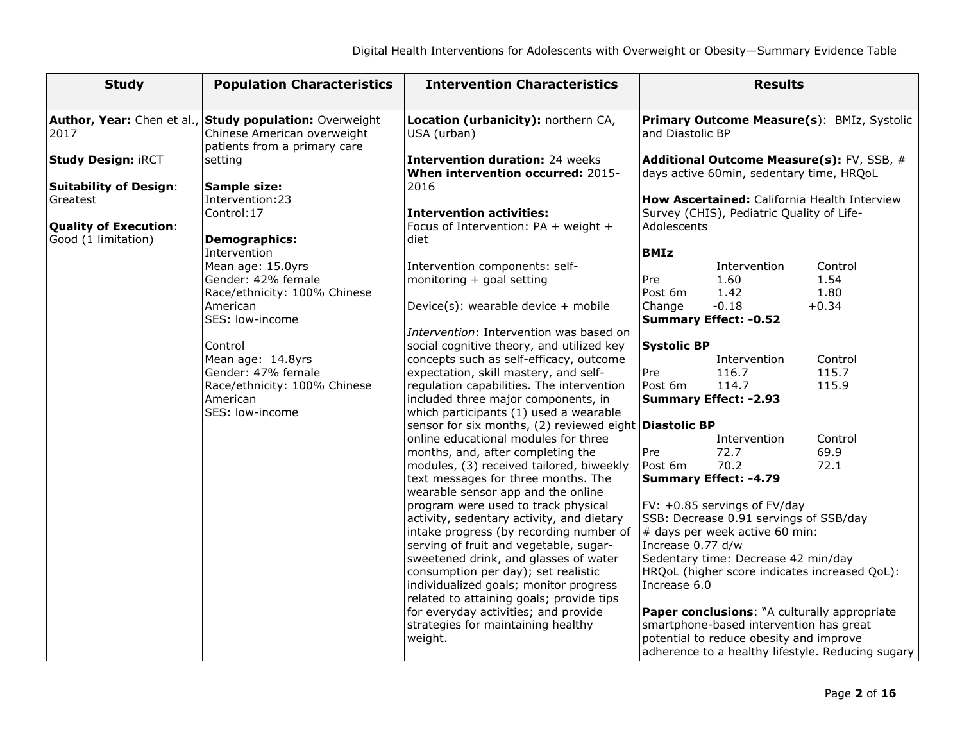| <b>Study</b>                  | <b>Population Characteristics</b>                                                                                      | <b>Intervention Characteristics</b>                                         |                    | <b>Results</b>                            |                                                   |
|-------------------------------|------------------------------------------------------------------------------------------------------------------------|-----------------------------------------------------------------------------|--------------------|-------------------------------------------|---------------------------------------------------|
| 2017                          | Author, Year: Chen et al., Study population: Overweight<br>Chinese American overweight<br>patients from a primary care | Location (urbanicity): northern CA,<br>USA (urban)                          | and Diastolic BP   |                                           | Primary Outcome Measure(s): BMIz, Systolic        |
| <b>Study Design: iRCT</b>     | setting                                                                                                                | <b>Intervention duration: 24 weeks</b><br>When intervention occurred: 2015- |                    | days active 60min, sedentary time, HRQoL  | Additional Outcome Measure(s): FV, SSB, #         |
| <b>Suitability of Design:</b> | Sample size:                                                                                                           | 2016                                                                        |                    |                                           |                                                   |
| Greatest                      | Intervention: 23                                                                                                       |                                                                             |                    |                                           | How Ascertained: California Health Interview      |
|                               | Control: 17                                                                                                            | <b>Intervention activities:</b>                                             |                    | Survey (CHIS), Pediatric Quality of Life- |                                                   |
| <b>Quality of Execution:</b>  |                                                                                                                        | Focus of Intervention: PA + weight +                                        | Adolescents        |                                           |                                                   |
| Good (1 limitation)           | <b>Demographics:</b><br>Intervention                                                                                   | diet                                                                        | <b>BMIz</b>        |                                           |                                                   |
|                               | Mean age: 15.0yrs                                                                                                      | Intervention components: self-                                              |                    | Intervention                              | Control                                           |
|                               | Gender: 42% female                                                                                                     | monitoring + goal setting                                                   | Pre                | 1.60                                      | 1.54                                              |
|                               | Race/ethnicity: 100% Chinese                                                                                           |                                                                             | Post 6m            | 1.42                                      | 1.80                                              |
|                               | American                                                                                                               | Device(s): wearable device + mobile                                         | Change             | $-0.18$                                   | $+0.34$                                           |
|                               | SES: low-income                                                                                                        |                                                                             |                    | <b>Summary Effect: -0.52</b>              |                                                   |
|                               |                                                                                                                        | Intervention: Intervention was based on                                     |                    |                                           |                                                   |
|                               | Control                                                                                                                | social cognitive theory, and utilized key                                   | <b>Systolic BP</b> |                                           |                                                   |
|                               | Mean age: 14.8yrs                                                                                                      | concepts such as self-efficacy, outcome                                     |                    | Intervention                              | Control                                           |
|                               | Gender: 47% female                                                                                                     | expectation, skill mastery, and self-                                       | Pre                | 116.7                                     | 115.7                                             |
|                               | Race/ethnicity: 100% Chinese                                                                                           | regulation capabilities. The intervention                                   | Post 6m            | 114.7                                     | 115.9                                             |
|                               | American                                                                                                               | included three major components, in                                         |                    | <b>Summary Effect: -2.93</b>              |                                                   |
|                               | SES: low-income                                                                                                        | which participants (1) used a wearable                                      |                    |                                           |                                                   |
|                               |                                                                                                                        | sensor for six months, (2) reviewed eight Diastolic BP                      |                    |                                           |                                                   |
|                               |                                                                                                                        | online educational modules for three                                        |                    | Intervention                              | Control                                           |
|                               |                                                                                                                        | months, and, after completing the                                           | Pre                | 72.7                                      | 69.9                                              |
|                               |                                                                                                                        | modules, (3) received tailored, biweekly                                    | Post 6m            | 70.2                                      | 72.1                                              |
|                               |                                                                                                                        | text messages for three months. The<br>wearable sensor app and the online   |                    | <b>Summary Effect: -4.79</b>              |                                                   |
|                               |                                                                                                                        | program were used to track physical                                         |                    | FV: +0.85 servings of FV/day              |                                                   |
|                               |                                                                                                                        | activity, sedentary activity, and dietary                                   |                    | SSB: Decrease 0.91 servings of SSB/day    |                                                   |
|                               |                                                                                                                        | intake progress (by recording number of                                     |                    | # days per week active 60 min:            |                                                   |
|                               |                                                                                                                        | serving of fruit and vegetable, sugar-                                      | Increase 0.77 d/w  |                                           |                                                   |
|                               |                                                                                                                        | sweetened drink, and glasses of water                                       |                    | Sedentary time: Decrease 42 min/day       |                                                   |
|                               |                                                                                                                        | consumption per day); set realistic                                         |                    |                                           | HRQoL (higher score indicates increased QoL):     |
|                               |                                                                                                                        | individualized goals; monitor progress                                      | Increase 6.0       |                                           |                                                   |
|                               |                                                                                                                        | related to attaining goals; provide tips                                    |                    |                                           |                                                   |
|                               |                                                                                                                        | for everyday activities; and provide                                        |                    |                                           | Paper conclusions: "A culturally appropriate      |
|                               |                                                                                                                        | strategies for maintaining healthy                                          |                    | smartphone-based intervention has great   |                                                   |
|                               |                                                                                                                        | weight.                                                                     |                    | potential to reduce obesity and improve   |                                                   |
|                               |                                                                                                                        |                                                                             |                    |                                           | adherence to a healthy lifestyle. Reducing sugary |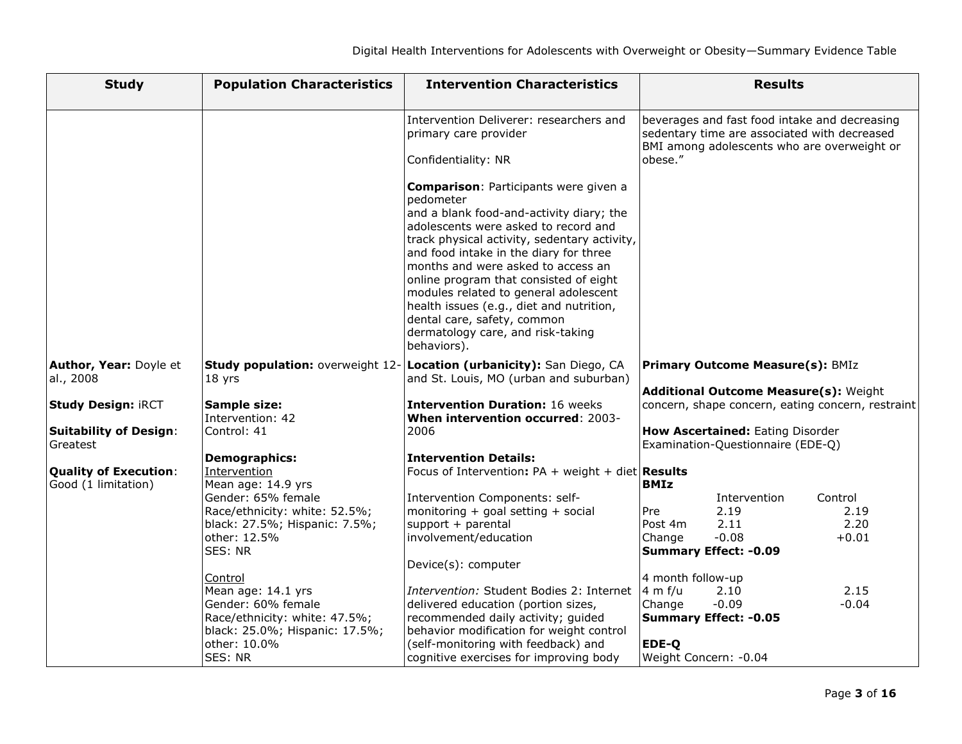| <b>Study</b>                                                           | <b>Population Characteristics</b>                                                                                                                 | <b>Intervention Characteristics</b>                                                                                                                                                                                                                                                                                                                                                                                                                                                             | <b>Results</b>                                                                                                                                                      |
|------------------------------------------------------------------------|---------------------------------------------------------------------------------------------------------------------------------------------------|-------------------------------------------------------------------------------------------------------------------------------------------------------------------------------------------------------------------------------------------------------------------------------------------------------------------------------------------------------------------------------------------------------------------------------------------------------------------------------------------------|---------------------------------------------------------------------------------------------------------------------------------------------------------------------|
|                                                                        |                                                                                                                                                   | Intervention Deliverer: researchers and<br>primary care provider<br>Confidentiality: NR                                                                                                                                                                                                                                                                                                                                                                                                         | beverages and fast food intake and decreasing<br>sedentary time are associated with decreased<br>BMI among adolescents who are overweight or<br>obese."             |
|                                                                        |                                                                                                                                                   | <b>Comparison: Participants were given a</b><br>pedometer<br>and a blank food-and-activity diary; the<br>adolescents were asked to record and<br>track physical activity, sedentary activity,<br>and food intake in the diary for three<br>months and were asked to access an<br>online program that consisted of eight<br>modules related to general adolescent<br>health issues (e.g., diet and nutrition,<br>dental care, safety, common<br>dermatology care, and risk-taking<br>behaviors). |                                                                                                                                                                     |
| Author, Year: Doyle et<br>al., 2008                                    | 18 yrs                                                                                                                                            | Study population: overweight 12- Location (urbanicity): San Diego, CA<br>and St. Louis, MO (urban and suburban)                                                                                                                                                                                                                                                                                                                                                                                 | <b>Primary Outcome Measure(s): BMIz</b>                                                                                                                             |
| <b>Study Design: iRCT</b><br><b>Suitability of Design:</b><br>Greatest | Sample size:<br>Intervention: 42<br>Control: 41                                                                                                   | <b>Intervention Duration: 16 weeks</b><br>When intervention occurred: 2003-<br>2006                                                                                                                                                                                                                                                                                                                                                                                                             | Additional Outcome Measure(s): Weight<br>concern, shape concern, eating concern, restraint<br>How Ascertained: Eating Disorder<br>Examination-Questionnaire (EDE-Q) |
| <b>Quality of Execution:</b>                                           | <b>Demographics:</b><br>Intervention                                                                                                              | <b>Intervention Details:</b><br>Focus of Intervention: $PA + weight + diet$ Results                                                                                                                                                                                                                                                                                                                                                                                                             |                                                                                                                                                                     |
| Good (1 limitation)                                                    | Mean age: 14.9 yrs<br>Gender: 65% female<br>Race/ethnicity: white: 52.5%;<br>black: 27.5%; Hispanic: 7.5%;<br>other: 12.5%<br>SES: NR             | Intervention Components: self-<br>monitoring + goal setting + social<br>support + parental<br>involvement/education                                                                                                                                                                                                                                                                                                                                                                             | <b>BMIz</b><br>Control<br>Intervention<br>Pre<br>2.19<br>2.19<br>2.11<br>2.20<br>Post 4m<br>$-0.08$<br>$+0.01$<br>Change<br><b>Summary Effect: -0.09</b>            |
|                                                                        | Control<br>Mean age: 14.1 yrs<br>Gender: 60% female<br>Race/ethnicity: white: 47.5%;<br>black: 25.0%; Hispanic: 17.5%;<br>other: 10.0%<br>SES: NR | Device(s): computer<br>Intervention: Student Bodies 2: Internet<br>delivered education (portion sizes,<br>recommended daily activity; guided<br>behavior modification for weight control<br>(self-monitoring with feedback) and<br>cognitive exercises for improving body                                                                                                                                                                                                                       | 4 month follow-up<br>2.15<br>$4 \text{ m } f/u$<br>2.10<br>$-0.09$<br>$-0.04$<br>Change<br><b>Summary Effect: -0.05</b><br>EDE-Q<br>Weight Concern: - 0.04          |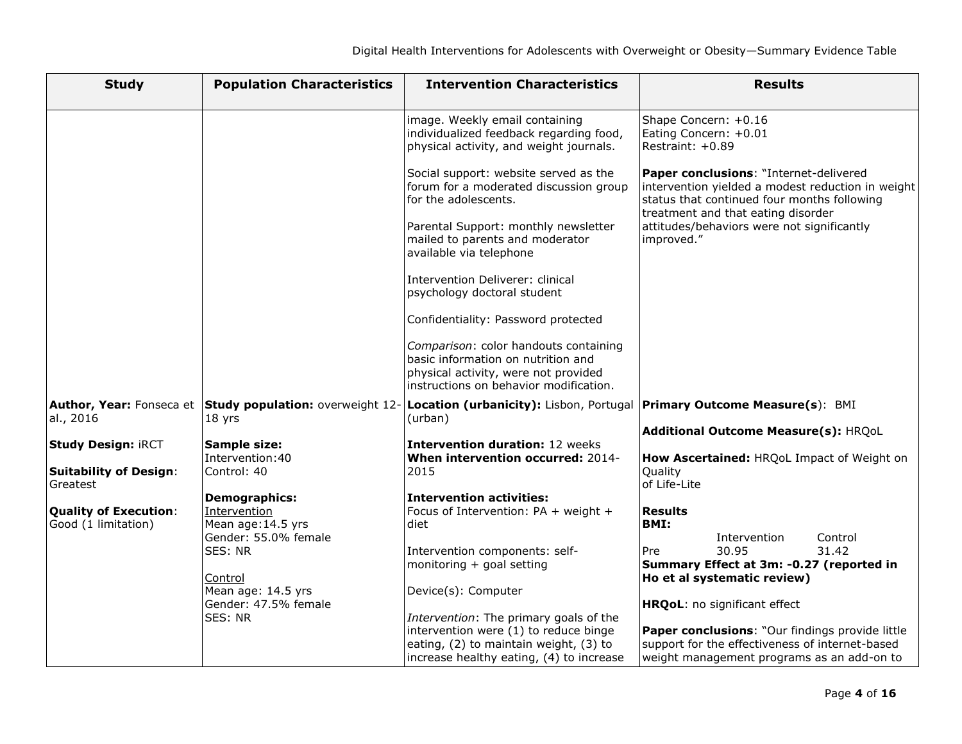| <b>Study</b>                              | <b>Population Characteristics</b>                                   | <b>Intervention Characteristics</b>                                                                                  | <b>Results</b>                                                                                                                                                                   |
|-------------------------------------------|---------------------------------------------------------------------|----------------------------------------------------------------------------------------------------------------------|----------------------------------------------------------------------------------------------------------------------------------------------------------------------------------|
|                                           |                                                                     | image. Weekly email containing<br>individualized feedback regarding food,<br>physical activity, and weight journals. | Shape Concern: +0.16<br>Eating Concern: +0.01<br>Restraint: +0.89                                                                                                                |
|                                           |                                                                     | Social support: website served as the<br>forum for a moderated discussion group<br>for the adolescents.              | Paper conclusions: "Internet-delivered<br>intervention yielded a modest reduction in weight<br>status that continued four months following<br>treatment and that eating disorder |
|                                           |                                                                     | Parental Support: monthly newsletter<br>mailed to parents and moderator<br>available via telephone                   | attitudes/behaviors were not significantly<br>improved."                                                                                                                         |
|                                           |                                                                     | Intervention Deliverer: clinical<br>psychology doctoral student                                                      |                                                                                                                                                                                  |
|                                           |                                                                     | Confidentiality: Password protected                                                                                  |                                                                                                                                                                                  |
|                                           |                                                                     | Comparison: color handouts containing<br>basic information on nutrition and                                          |                                                                                                                                                                                  |
|                                           |                                                                     | physical activity, were not provided<br>instructions on behavior modification.                                       |                                                                                                                                                                                  |
| al., 2016                                 | Author, Year: Fonseca et Study population: overweight 12-<br>18 yrs | Location (urbanicity): Lisbon, Portugal   Primary Outcome Measure(s): BMI<br>(urban)                                 |                                                                                                                                                                                  |
|                                           |                                                                     |                                                                                                                      | Additional Outcome Measure(s): HRQoL                                                                                                                                             |
| <b>Study Design: iRCT</b>                 | Sample size:<br>Intervention: 40                                    | <b>Intervention duration: 12 weeks</b><br>When intervention occurred: 2014-                                          | How Ascertained: HRQoL Impact of Weight on                                                                                                                                       |
| <b>Suitability of Design:</b><br>Greatest | Control: 40                                                         | 2015                                                                                                                 | Quality<br>of Life-Lite                                                                                                                                                          |
|                                           | Demographics:                                                       | <b>Intervention activities:</b>                                                                                      |                                                                                                                                                                                  |
| <b>Quality of Execution:</b>              | Intervention                                                        | Focus of Intervention: PA + weight +<br>diet                                                                         | <b>Results</b><br><b>BMI:</b>                                                                                                                                                    |
| Good (1 limitation)                       | Mean age: 14.5 yrs<br>Gender: 55.0% female                          |                                                                                                                      | Control<br>Intervention                                                                                                                                                          |
|                                           | SES: NR                                                             | Intervention components: self-                                                                                       | 31.42<br>30.95<br>Pre                                                                                                                                                            |
|                                           |                                                                     | monitoring + goal setting                                                                                            | Summary Effect at 3m: -0.27 (reported in                                                                                                                                         |
|                                           | Control                                                             |                                                                                                                      | Ho et al systematic review)                                                                                                                                                      |
|                                           | Mean age: 14.5 yrs<br>Gender: 47.5% female                          | Device(s): Computer                                                                                                  | HRQoL: no significant effect                                                                                                                                                     |
|                                           | SES: NR                                                             | Intervention: The primary goals of the                                                                               |                                                                                                                                                                                  |
|                                           |                                                                     | intervention were (1) to reduce binge                                                                                | Paper conclusions: "Our findings provide little                                                                                                                                  |
|                                           |                                                                     | eating, (2) to maintain weight, (3) to                                                                               | support for the effectiveness of internet-based                                                                                                                                  |
|                                           |                                                                     | increase healthy eating, (4) to increase                                                                             | weight management programs as an add-on to                                                                                                                                       |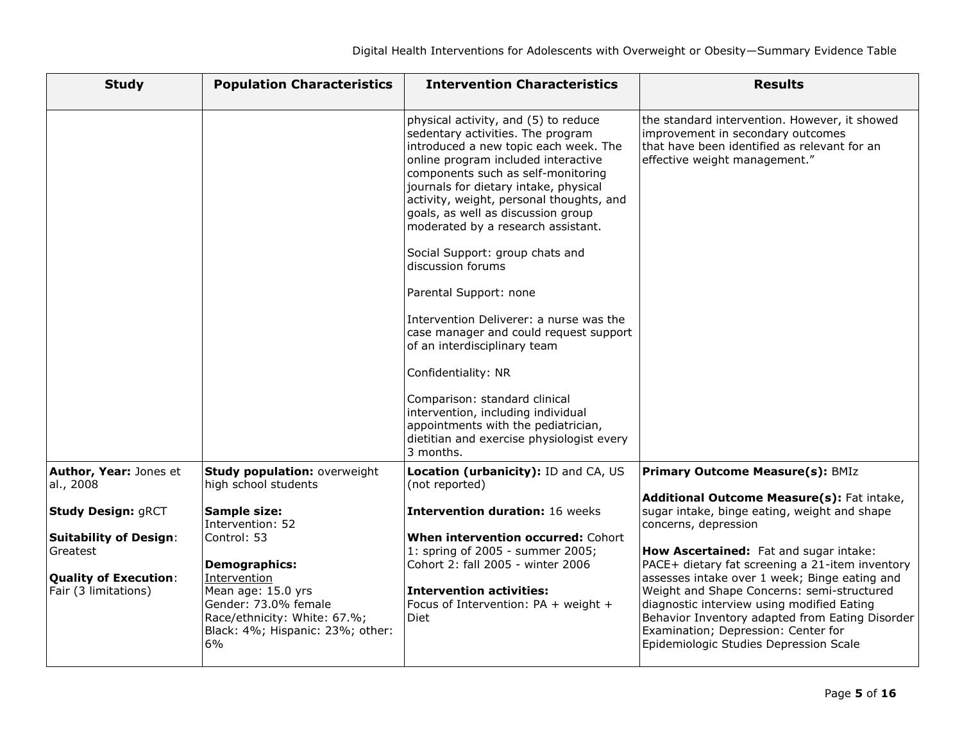| <b>Study</b>                                         | <b>Population Characteristics</b>                                                                                                    | <b>Intervention Characteristics</b>                                                                                                                                                                                                                                                                                                                                                                                                                                                                                                                                                                                                                                                                                                                                    | <b>Results</b>                                                                                                                                                                                                                                                                |
|------------------------------------------------------|--------------------------------------------------------------------------------------------------------------------------------------|------------------------------------------------------------------------------------------------------------------------------------------------------------------------------------------------------------------------------------------------------------------------------------------------------------------------------------------------------------------------------------------------------------------------------------------------------------------------------------------------------------------------------------------------------------------------------------------------------------------------------------------------------------------------------------------------------------------------------------------------------------------------|-------------------------------------------------------------------------------------------------------------------------------------------------------------------------------------------------------------------------------------------------------------------------------|
|                                                      |                                                                                                                                      | physical activity, and (5) to reduce<br>sedentary activities. The program<br>introduced a new topic each week. The<br>online program included interactive<br>components such as self-monitoring<br>journals for dietary intake, physical<br>activity, weight, personal thoughts, and<br>goals, as well as discussion group<br>moderated by a research assistant.<br>Social Support: group chats and<br>discussion forums<br>Parental Support: none<br>Intervention Deliverer: a nurse was the<br>case manager and could request support<br>of an interdisciplinary team<br>Confidentiality: NR<br>Comparison: standard clinical<br>intervention, including individual<br>appointments with the pediatrician,<br>dietitian and exercise physiologist every<br>3 months. | the standard intervention. However, it showed<br>improvement in secondary outcomes<br>that have been identified as relevant for an<br>effective weight management."                                                                                                           |
| Author, Year: Jones et<br>al., 2008                  | Study population: overweight<br>high school students                                                                                 | Location (urbanicity): ID and CA, US<br>(not reported)                                                                                                                                                                                                                                                                                                                                                                                                                                                                                                                                                                                                                                                                                                                 | <b>Primary Outcome Measure(s): BMIz</b>                                                                                                                                                                                                                                       |
| <b>Study Design: gRCT</b>                            | <b>Sample size:</b><br>Intervention: 52                                                                                              | <b>Intervention duration: 16 weeks</b>                                                                                                                                                                                                                                                                                                                                                                                                                                                                                                                                                                                                                                                                                                                                 | Additional Outcome Measure(s): Fat intake,<br>sugar intake, binge eating, weight and shape<br>concerns, depression                                                                                                                                                            |
| <b>Suitability of Design:</b><br>Greatest            | Control: 53<br><b>Demographics:</b>                                                                                                  | When intervention occurred: Cohort<br>1: spring of 2005 - summer 2005;<br>Cohort 2: fall 2005 - winter 2006                                                                                                                                                                                                                                                                                                                                                                                                                                                                                                                                                                                                                                                            | How Ascertained: Fat and sugar intake:<br>PACE+ dietary fat screening a 21-item inventory                                                                                                                                                                                     |
| <b>Quality of Execution:</b><br>Fair (3 limitations) | Intervention<br>Mean age: 15.0 yrs<br>Gender: 73.0% female<br>Race/ethnicity: White: 67.%;<br>Black: 4%; Hispanic: 23%; other:<br>6% | <b>Intervention activities:</b><br>Focus of Intervention: PA + weight +<br><b>Diet</b>                                                                                                                                                                                                                                                                                                                                                                                                                                                                                                                                                                                                                                                                                 | assesses intake over 1 week; Binge eating and<br>Weight and Shape Concerns: semi-structured<br>diagnostic interview using modified Eating<br>Behavior Inventory adapted from Eating Disorder<br>Examination; Depression: Center for<br>Epidemiologic Studies Depression Scale |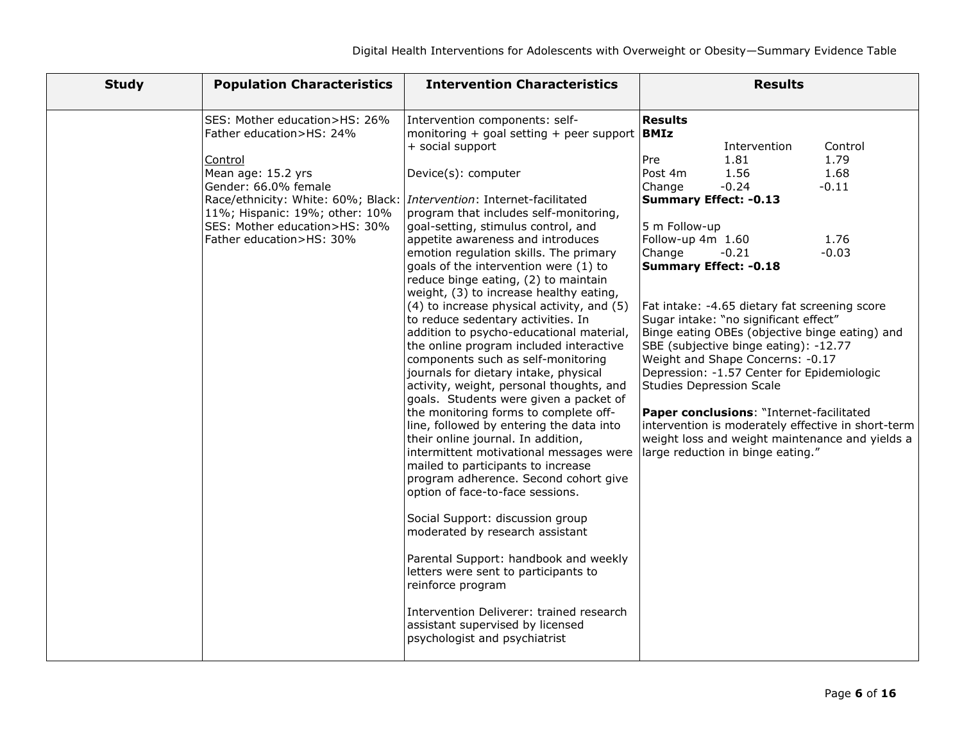| <b>Study</b> | <b>Population Characteristics</b>                                                                                                                                                                                                                                                                  | <b>Intervention Characteristics</b>                                                                                                                                                                                                                                                                                                                                                                                                                                                                                                                                                                                                                                                                                                                                                                                                                                                                                                              | <b>Results</b>                                                                                                                                                                                                                                                                                                                                                                                                                                                                                                                                                                                                                                                                                                                                                                 |
|--------------|----------------------------------------------------------------------------------------------------------------------------------------------------------------------------------------------------------------------------------------------------------------------------------------------------|--------------------------------------------------------------------------------------------------------------------------------------------------------------------------------------------------------------------------------------------------------------------------------------------------------------------------------------------------------------------------------------------------------------------------------------------------------------------------------------------------------------------------------------------------------------------------------------------------------------------------------------------------------------------------------------------------------------------------------------------------------------------------------------------------------------------------------------------------------------------------------------------------------------------------------------------------|--------------------------------------------------------------------------------------------------------------------------------------------------------------------------------------------------------------------------------------------------------------------------------------------------------------------------------------------------------------------------------------------------------------------------------------------------------------------------------------------------------------------------------------------------------------------------------------------------------------------------------------------------------------------------------------------------------------------------------------------------------------------------------|
|              | SES: Mother education>HS: 26%<br>Father education>HS: 24%<br>Control<br>Mean age: 15.2 yrs<br>Gender: 66.0% female<br>Race/ethnicity: White: 60%; Black: <i>Intervention</i> : Internet-facilitated<br>11%; Hispanic: 19%; other: 10%<br>SES: Mother education>HS: 30%<br>Father education>HS: 30% | Intervention components: self-<br>monitoring + goal setting + peer support $ BMIz $<br>+ social support<br>Device(s): computer<br>program that includes self-monitoring,<br>goal-setting, stimulus control, and<br>appetite awareness and introduces<br>emotion regulation skills. The primary<br>goals of the intervention were (1) to<br>reduce binge eating, (2) to maintain<br>weight, (3) to increase healthy eating,<br>(4) to increase physical activity, and (5)<br>to reduce sedentary activities. In<br>addition to psycho-educational material,<br>the online program included interactive<br>components such as self-monitoring<br>journals for dietary intake, physical<br>activity, weight, personal thoughts, and<br>goals. Students were given a packet of<br>the monitoring forms to complete off-<br>line, followed by entering the data into<br>their online journal. In addition,<br>intermittent motivational messages were | <b>Results</b><br>Control<br>Intervention<br>1.81<br>1.79<br>Pre<br>1.56<br>1.68<br>Post 4m<br>$-0.24$<br>$-0.11$<br>Change<br><b>Summary Effect: -0.13</b><br>5 m Follow-up<br>Follow-up 4m 1.60<br>1.76<br>$-0.03$<br>Change<br>$-0.21$<br><b>Summary Effect: - 0.18</b><br>Fat intake: -4.65 dietary fat screening score<br>Sugar intake: "no significant effect"<br>Binge eating OBEs (objective binge eating) and<br>SBE (subjective binge eating): -12.77<br>Weight and Shape Concerns: -0.17<br>Depression: -1.57 Center for Epidemiologic<br><b>Studies Depression Scale</b><br>Paper conclusions: "Internet-facilitated<br>intervention is moderately effective in short-term<br>weight loss and weight maintenance and yields a<br>large reduction in binge eating." |
|              |                                                                                                                                                                                                                                                                                                    | mailed to participants to increase<br>program adherence. Second cohort give<br>option of face-to-face sessions.<br>Social Support: discussion group<br>moderated by research assistant<br>Parental Support: handbook and weekly<br>letters were sent to participants to<br>reinforce program<br>Intervention Deliverer: trained research<br>assistant supervised by licensed<br>psychologist and psychiatrist                                                                                                                                                                                                                                                                                                                                                                                                                                                                                                                                    |                                                                                                                                                                                                                                                                                                                                                                                                                                                                                                                                                                                                                                                                                                                                                                                |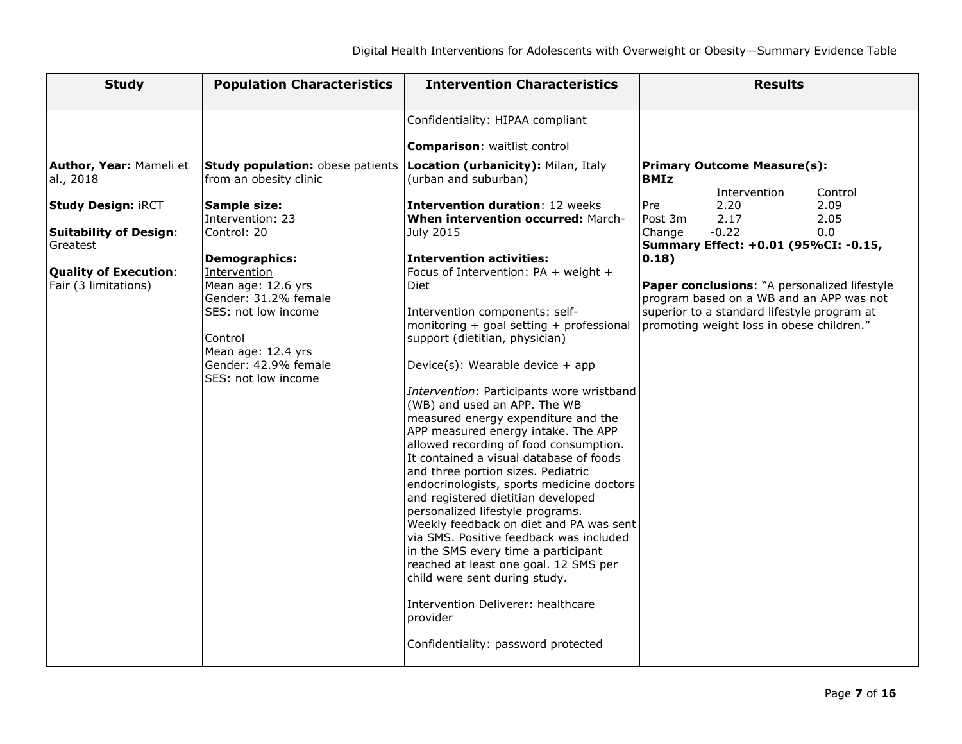| <b>Study</b>                              | <b>Population Characteristics</b>                                 | <b>Intervention Characteristics</b>                                                                                                                                                                                                                                                                                                                                   | <b>Results</b>                                                                           |
|-------------------------------------------|-------------------------------------------------------------------|-----------------------------------------------------------------------------------------------------------------------------------------------------------------------------------------------------------------------------------------------------------------------------------------------------------------------------------------------------------------------|------------------------------------------------------------------------------------------|
|                                           |                                                                   | Confidentiality: HIPAA compliant                                                                                                                                                                                                                                                                                                                                      |                                                                                          |
|                                           |                                                                   | <b>Comparison: waitlist control</b>                                                                                                                                                                                                                                                                                                                                   |                                                                                          |
| Author, Year: Mameli et<br>al., 2018      | Study population: obese patients<br>from an obesity clinic        | Location (urbanicity): Milan, Italy<br>(urban and suburban)                                                                                                                                                                                                                                                                                                           | Primary Outcome Measure(s):<br><b>BMIz</b><br>Intervention<br>Control                    |
| <b>Study Design: iRCT</b>                 | Sample size:<br>Intervention: 23                                  | <b>Intervention duration: 12 weeks</b><br>When intervention occurred: March-                                                                                                                                                                                                                                                                                          | Pre<br>2.09<br>2.20<br>Post 3m<br>2.17<br>2.05                                           |
| <b>Suitability of Design:</b><br>Greatest | Control: 20                                                       | July 2015                                                                                                                                                                                                                                                                                                                                                             | $-0.22$<br>Change<br>0.0<br>Summary Effect: +0.01 (95%CI: -0.15,                         |
|                                           | <b>Demographics:</b>                                              | <b>Intervention activities:</b>                                                                                                                                                                                                                                                                                                                                       | $ 0.18\rangle$                                                                           |
| <b>Quality of Execution:</b>              | Intervention                                                      | Focus of Intervention: PA + weight +                                                                                                                                                                                                                                                                                                                                  |                                                                                          |
| Fair (3 limitations)                      | Mean age: 12.6 yrs<br>Gender: 31.2% female                        | Diet                                                                                                                                                                                                                                                                                                                                                                  | Paper conclusions: "A personalized lifestyle<br>program based on a WB and an APP was not |
|                                           | SES: not low income<br>Control                                    | Intervention components: self-<br>monitoring + goal setting + professional<br>support (dietitian, physician)                                                                                                                                                                                                                                                          | superior to a standard lifestyle program at<br>promoting weight loss in obese children." |
|                                           | Mean age: 12.4 yrs<br>Gender: 42.9% female<br>SES: not low income | Device(s): Wearable device $+$ app                                                                                                                                                                                                                                                                                                                                    |                                                                                          |
|                                           |                                                                   | Intervention: Participants wore wristband<br>(WB) and used an APP. The WB<br>measured energy expenditure and the<br>APP measured energy intake. The APP<br>allowed recording of food consumption.<br>It contained a visual database of foods<br>and three portion sizes. Pediatric<br>endocrinologists, sports medicine doctors<br>and registered dietitian developed |                                                                                          |
|                                           |                                                                   | personalized lifestyle programs.<br>Weekly feedback on diet and PA was sent<br>via SMS. Positive feedback was included<br>in the SMS every time a participant<br>reached at least one goal. 12 SMS per<br>child were sent during study.                                                                                                                               |                                                                                          |
|                                           |                                                                   | Intervention Deliverer: healthcare<br>provider                                                                                                                                                                                                                                                                                                                        |                                                                                          |
|                                           |                                                                   | Confidentiality: password protected                                                                                                                                                                                                                                                                                                                                   |                                                                                          |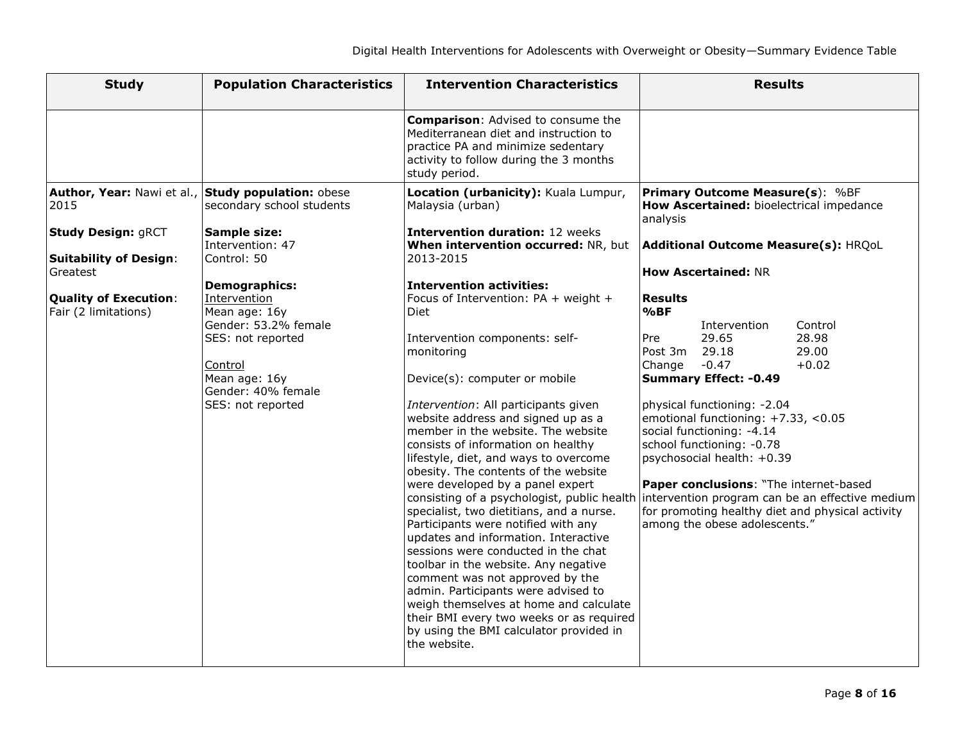| <b>Study</b>                                                                                           | <b>Population Characteristics</b>                                                                                                 | <b>Intervention Characteristics</b>                                                                                                                                                                                                                                                                                                                                                                                                                                                                                                                                                                                                                                                                                                                                                                              | <b>Results</b>                                                                                                                                                                                                                                                                                                                                                                                                                                                                                                                                   |
|--------------------------------------------------------------------------------------------------------|-----------------------------------------------------------------------------------------------------------------------------------|------------------------------------------------------------------------------------------------------------------------------------------------------------------------------------------------------------------------------------------------------------------------------------------------------------------------------------------------------------------------------------------------------------------------------------------------------------------------------------------------------------------------------------------------------------------------------------------------------------------------------------------------------------------------------------------------------------------------------------------------------------------------------------------------------------------|--------------------------------------------------------------------------------------------------------------------------------------------------------------------------------------------------------------------------------------------------------------------------------------------------------------------------------------------------------------------------------------------------------------------------------------------------------------------------------------------------------------------------------------------------|
|                                                                                                        |                                                                                                                                   | <b>Comparison:</b> Advised to consume the<br>Mediterranean diet and instruction to<br>practice PA and minimize sedentary<br>activity to follow during the 3 months<br>study period.                                                                                                                                                                                                                                                                                                                                                                                                                                                                                                                                                                                                                              |                                                                                                                                                                                                                                                                                                                                                                                                                                                                                                                                                  |
| 2015                                                                                                   | Author, Year: Nawi et al., Study population: obese<br>secondary school students                                                   | Location (urbanicity): Kuala Lumpur,<br>Malaysia (urban)                                                                                                                                                                                                                                                                                                                                                                                                                                                                                                                                                                                                                                                                                                                                                         | <b>Primary Outcome Measure(s): %BF</b><br>How Ascertained: bioelectrical impedance<br>analysis                                                                                                                                                                                                                                                                                                                                                                                                                                                   |
| <b>Study Design: gRCT</b><br><b>Suitability of Design:</b><br>Greatest<br><b>Quality of Execution:</b> | <b>Sample size:</b><br>Intervention: 47<br>Control: 50<br>Demographics:<br>Intervention                                           | <b>Intervention duration: 12 weeks</b><br>When intervention occurred: NR, but<br>2013-2015<br><b>Intervention activities:</b><br>Focus of Intervention: PA + weight +                                                                                                                                                                                                                                                                                                                                                                                                                                                                                                                                                                                                                                            | Additional Outcome Measure(s): HRQoL<br><b>How Ascertained: NR</b><br><b>Results</b>                                                                                                                                                                                                                                                                                                                                                                                                                                                             |
| Fair (2 limitations)                                                                                   | Mean age: 16y<br>Gender: 53.2% female<br>SES: not reported<br>Control<br>Mean age: 16y<br>Gender: 40% female<br>SES: not reported | <b>Diet</b><br>Intervention components: self-<br>monitoring<br>Device(s): computer or mobile<br>Intervention: All participants given<br>website address and signed up as a<br>member in the website. The website<br>consists of information on healthy<br>lifestyle, diet, and ways to overcome<br>obesity. The contents of the website<br>were developed by a panel expert<br>specialist, two dietitians, and a nurse.<br>Participants were notified with any<br>updates and information. Interactive<br>sessions were conducted in the chat<br>toolbar in the website. Any negative<br>comment was not approved by the<br>admin. Participants were advised to<br>weigh themselves at home and calculate<br>their BMI every two weeks or as required<br>by using the BMI calculator provided in<br>the website. | %BF<br>Intervention<br>Control<br>28.98<br>29.65<br>Pre<br>Post 3m<br>29.18<br>29.00<br>$-0.47$<br>$+0.02$<br>Change<br><b>Summary Effect: -0.49</b><br>physical functioning: -2.04<br>emotional functioning: +7.33, <0.05<br>social functioning: -4.14<br>school functioning: -0.78<br>psychosocial health: +0.39<br>Paper conclusions: "The internet-based<br>consisting of a psychologist, public health intervention program can be an effective medium<br>for promoting healthy diet and physical activity<br>among the obese adolescents." |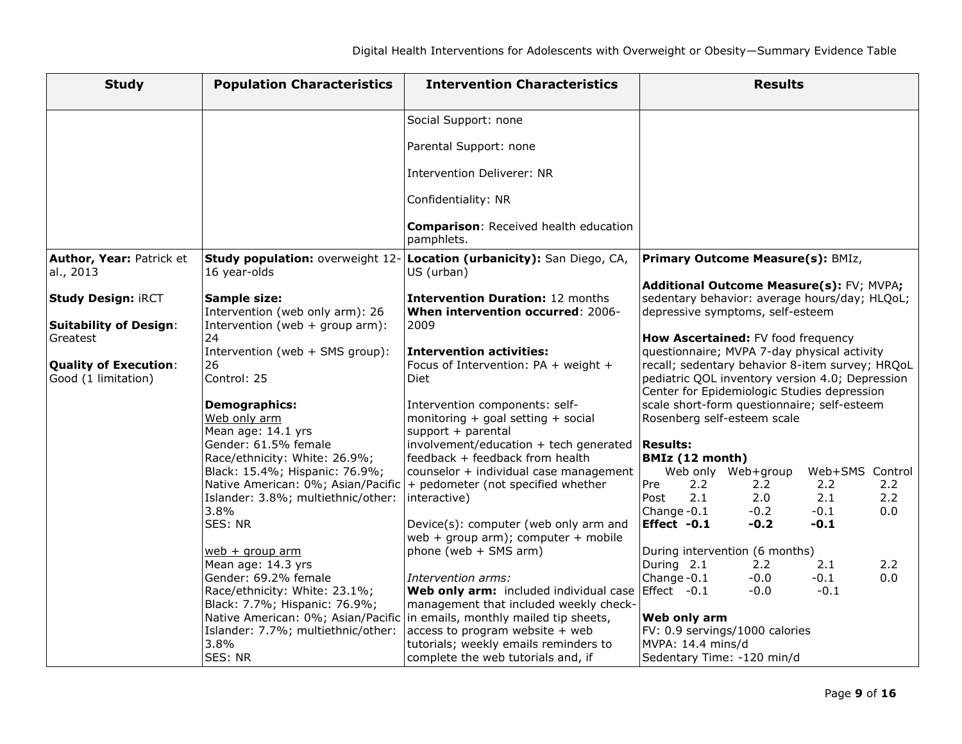| <b>Study</b>                                               | <b>Population Characteristics</b>                                                      | <b>Intervention Characteristics</b>                                                                                                                     | <b>Results</b>                                                                                                                                    |
|------------------------------------------------------------|----------------------------------------------------------------------------------------|---------------------------------------------------------------------------------------------------------------------------------------------------------|---------------------------------------------------------------------------------------------------------------------------------------------------|
|                                                            |                                                                                        | Social Support: none                                                                                                                                    |                                                                                                                                                   |
|                                                            |                                                                                        | Parental Support: none                                                                                                                                  |                                                                                                                                                   |
|                                                            |                                                                                        | Intervention Deliverer: NR                                                                                                                              |                                                                                                                                                   |
|                                                            |                                                                                        | Confidentiality: NR                                                                                                                                     |                                                                                                                                                   |
|                                                            |                                                                                        | <b>Comparison: Received health education</b><br>pamphlets.                                                                                              |                                                                                                                                                   |
| Author, Year: Patrick et<br>al., 2013                      | Study population: overweight 12-<br>16 year-olds                                       | Location (urbanicity): San Diego, CA,<br>US (urban)                                                                                                     | <b>Primary Outcome Measure(s): BMIz,</b>                                                                                                          |
| <b>Study Design: iRCT</b><br><b>Suitability of Design:</b> | Sample size:<br>Intervention (web only arm): 26<br>Intervention (web $+$ group arm):   | <b>Intervention Duration: 12 months</b><br>When intervention occurred: 2006-<br>2009                                                                    | Additional Outcome Measure(s): FV; MVPA;<br>sedentary behavior: average hours/day; HLQoL;<br>depressive symptoms, self-esteem                     |
| Greatest                                                   | 24<br>Intervention (web + SMS group):                                                  | <b>Intervention activities:</b>                                                                                                                         | How Ascertained: FV food frequency<br>questionnaire; MVPA 7-day physical activity                                                                 |
| <b>Quality of Execution:</b><br>Good (1 limitation)        | 26<br>Control: 25                                                                      | Focus of Intervention: PA + weight +<br><b>Diet</b>                                                                                                     | recall; sedentary behavior 8-item survey; HRQoL<br>pediatric QOL inventory version 4.0; Depression<br>Center for Epidemiologic Studies depression |
|                                                            | <b>Demographics:</b><br>Web only arm<br>Mean age: 14.1 yrs                             | Intervention components: self-<br>monitoring $+$ goal setting $+$ social<br>support + parental                                                          | scale short-form questionnaire; self-esteem<br>Rosenberg self-esteem scale                                                                        |
|                                                            | Gender: 61.5% female<br>Race/ethnicity: White: 26.9%;                                  | involvement/education + tech generated $\textsf{Results:}$<br>feedback + feedback from health                                                           | <b>BMIz (12 month)</b>                                                                                                                            |
|                                                            | Black: 15.4%; Hispanic: 76.9%;<br>Islander: 3.8%; multiethnic/other:                   | counselor + individual case management<br>Native American: 0%; Asian/Pacific   + pedometer (not specified whether<br>interactive)                       | Web only Web+group<br>Web+SMS Control<br>Pre<br>2.2<br>$2.2^{\circ}$<br>2.2<br>$2.2^{\circ}$<br>2.0<br>2.1<br>2.2<br>2.1<br>Post                  |
|                                                            | 3.8%<br>SES: NR                                                                        |                                                                                                                                                         | Change-0.1<br>0.0<br>$-0.2$<br>$-0.1$<br>Effect -0.1<br>$-0.2$<br>$-0.1$                                                                          |
|                                                            |                                                                                        | Device(s): computer (web only arm and<br>web + group arm); computer + mobile                                                                            |                                                                                                                                                   |
|                                                            | $web + group arm$<br>Mean age: 14.3 yrs                                                | phone (web + SMS arm)                                                                                                                                   | During intervention (6 months)<br>During 2.1<br>2.2<br>2.2<br>2.1                                                                                 |
|                                                            | Gender: 69.2% female<br>Race/ethnicity: White: 23.1%;<br>Black: 7.7%; Hispanic: 76.9%; | Intervention arms:<br>Web only arm: included individual case Effect -0.1<br>management that included weekly check-                                      | Change-0.1<br>$-0.0$<br>$-0.1$<br>0.0<br>$-0.0$<br>$-0.1$                                                                                         |
|                                                            | Islander: 7.7%; multiethnic/other:<br>3.8%                                             | Native American: 0%; Asian/Pacific in emails, monthly mailed tip sheets,<br>$ access to program website + web$<br>tutorials; weekly emails reminders to | <b>Web only arm</b><br>FV: 0.9 servings/1000 calories<br>MVPA: 14.4 mins/d                                                                        |
|                                                            | SES: NR                                                                                | complete the web tutorials and, if                                                                                                                      | Sedentary Time: -120 min/d                                                                                                                        |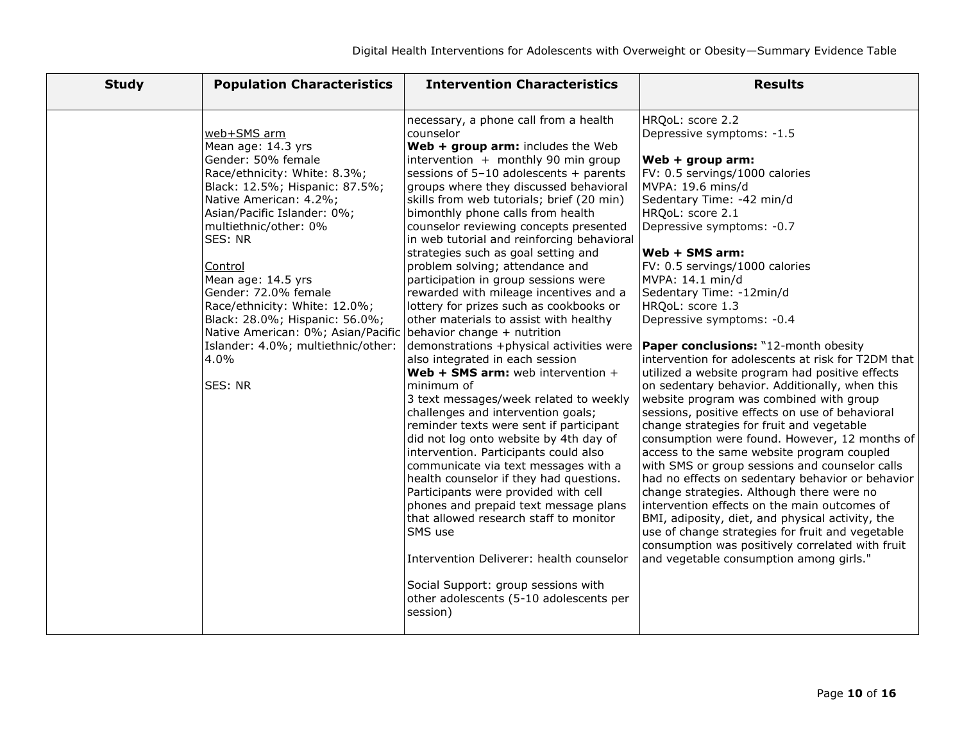| <b>Study</b> | <b>Population Characteristics</b>                                                                                                                                                                                                                                                                                                                                                                                                                                             | <b>Intervention Characteristics</b>                                                                                                                                                                                                                                                                                                                                                                                                                                                                                                                                                                                                                                                                                                                                                                                                                                                                                                                                                                                                                                                                                                                                                                                                                                                                                                                                                                              | <b>Results</b>                                                                                                                                                                                                                                                                                                                                                                                                                                                                                                                                                                                                                                                                                                                                                                                                                                                                                                                                                                                                                                                                                                                                                                    |
|--------------|-------------------------------------------------------------------------------------------------------------------------------------------------------------------------------------------------------------------------------------------------------------------------------------------------------------------------------------------------------------------------------------------------------------------------------------------------------------------------------|------------------------------------------------------------------------------------------------------------------------------------------------------------------------------------------------------------------------------------------------------------------------------------------------------------------------------------------------------------------------------------------------------------------------------------------------------------------------------------------------------------------------------------------------------------------------------------------------------------------------------------------------------------------------------------------------------------------------------------------------------------------------------------------------------------------------------------------------------------------------------------------------------------------------------------------------------------------------------------------------------------------------------------------------------------------------------------------------------------------------------------------------------------------------------------------------------------------------------------------------------------------------------------------------------------------------------------------------------------------------------------------------------------------|-----------------------------------------------------------------------------------------------------------------------------------------------------------------------------------------------------------------------------------------------------------------------------------------------------------------------------------------------------------------------------------------------------------------------------------------------------------------------------------------------------------------------------------------------------------------------------------------------------------------------------------------------------------------------------------------------------------------------------------------------------------------------------------------------------------------------------------------------------------------------------------------------------------------------------------------------------------------------------------------------------------------------------------------------------------------------------------------------------------------------------------------------------------------------------------|
|              | web+SMS arm<br>Mean age: 14.3 yrs<br>Gender: 50% female<br>Race/ethnicity: White: 8.3%;<br>Black: 12.5%; Hispanic: 87.5%;<br>Native American: 4.2%;<br>Asian/Pacific Islander: 0%;<br>multiethnic/other: 0%<br>SES: NR<br>Control<br>Mean age: 14.5 yrs<br>Gender: 72.0% female<br>Race/ethnicity: White: 12.0%;<br>Black: 28.0%; Hispanic: 56.0%;<br>Native American: 0%; Asian/Pacific behavior change + nutrition<br>Islander: 4.0%; multiethnic/other:<br>4.0%<br>SES: NR | necessary, a phone call from a health<br>counselor<br>Web + group arm: includes the Web<br>intervention + monthly 90 min group<br>sessions of $5-10$ adolescents + parents<br>groups where they discussed behavioral<br>skills from web tutorials; brief (20 min)<br>bimonthly phone calls from health<br>counselor reviewing concepts presented<br>in web tutorial and reinforcing behavioral<br>strategies such as goal setting and<br>problem solving; attendance and<br>participation in group sessions were<br>rewarded with mileage incentives and a<br>lottery for prizes such as cookbooks or<br>other materials to assist with healthy<br>demonstrations +physical activities were <b>Paper conclusions:</b> "12-month obesity<br>also integrated in each session<br>Web + SMS arm: web intervention $+$<br>minimum of<br>3 text messages/week related to weekly<br>challenges and intervention goals;<br>reminder texts were sent if participant<br>did not log onto website by 4th day of<br>intervention. Participants could also<br>communicate via text messages with a<br>health counselor if they had questions.<br>Participants were provided with cell<br>phones and prepaid text message plans<br>that allowed research staff to monitor<br>SMS use<br>Intervention Deliverer: health counselor<br>Social Support: group sessions with<br>other adolescents (5-10 adolescents per<br>session) | HRQoL: score 2.2<br>Depressive symptoms: -1.5<br>Web + group arm:<br>FV: 0.5 servings/1000 calories<br>MVPA: 19.6 mins/d<br>Sedentary Time: -42 min/d<br>HRQoL: score 2.1<br>Depressive symptoms: -0.7<br><b>Web + SMS arm:</b><br>FV: 0.5 servings/1000 calories<br>MVPA: 14.1 min/d<br>Sedentary Time: -12min/d<br>HRQoL: score 1.3<br>Depressive symptoms: -0.4<br>intervention for adolescents at risk for T2DM that<br>utilized a website program had positive effects<br>on sedentary behavior. Additionally, when this<br>website program was combined with group<br>sessions, positive effects on use of behavioral<br>change strategies for fruit and vegetable<br>consumption were found. However, 12 months of<br>access to the same website program coupled<br>with SMS or group sessions and counselor calls<br>had no effects on sedentary behavior or behavior<br>change strategies. Although there were no<br>intervention effects on the main outcomes of<br>BMI, adiposity, diet, and physical activity, the<br>use of change strategies for fruit and vegetable<br>consumption was positively correlated with fruit<br>and vegetable consumption among girls." |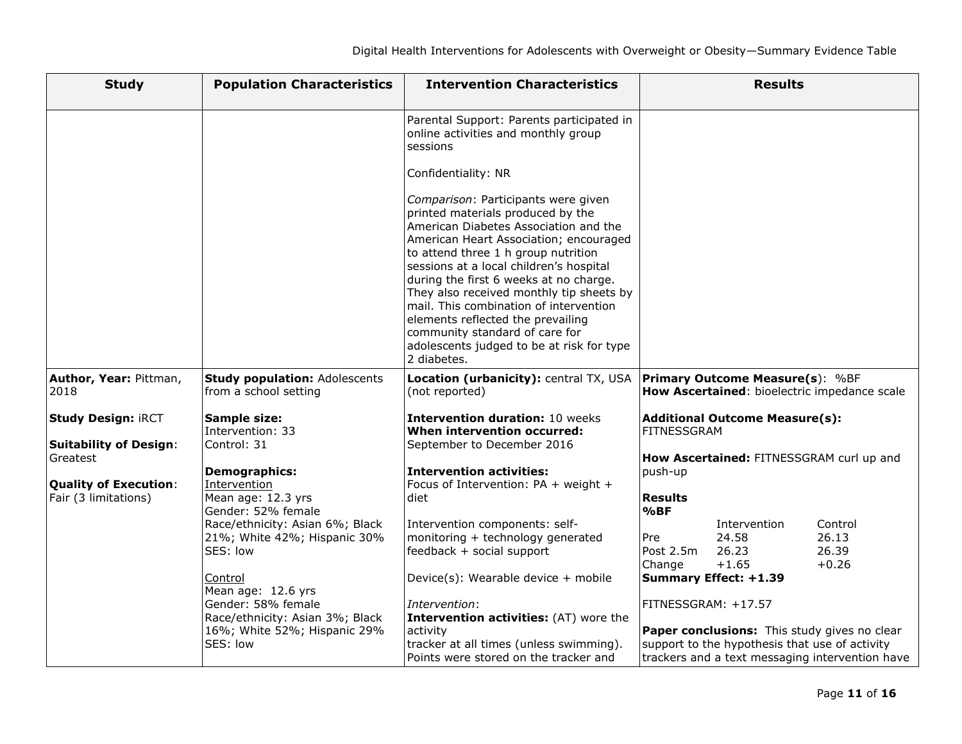| <b>Study</b>                                         | <b>Population Characteristics</b>                             | <b>Intervention Characteristics</b>                                                                                                                                                                                                                                                                                                                                                                                                                                       | <b>Results</b>                                                                         |
|------------------------------------------------------|---------------------------------------------------------------|---------------------------------------------------------------------------------------------------------------------------------------------------------------------------------------------------------------------------------------------------------------------------------------------------------------------------------------------------------------------------------------------------------------------------------------------------------------------------|----------------------------------------------------------------------------------------|
|                                                      |                                                               | Parental Support: Parents participated in<br>online activities and monthly group<br>sessions<br>Confidentiality: NR<br>Comparison: Participants were given                                                                                                                                                                                                                                                                                                                |                                                                                        |
|                                                      |                                                               | printed materials produced by the<br>American Diabetes Association and the<br>American Heart Association; encouraged<br>to attend three 1 h group nutrition<br>sessions at a local children's hospital<br>during the first 6 weeks at no charge.<br>They also received monthly tip sheets by<br>mail. This combination of intervention<br>elements reflected the prevailing<br>community standard of care for<br>adolescents judged to be at risk for type<br>2 diabetes. |                                                                                        |
| Author, Year: Pittman,<br>2018                       | <b>Study population: Adolescents</b><br>from a school setting | Location (urbanicity): central TX, USA<br>(not reported)                                                                                                                                                                                                                                                                                                                                                                                                                  | <b>Primary Outcome Measure(s): %BF</b><br>How Ascertained: bioelectric impedance scale |
| <b>Study Design: iRCT</b>                            | Sample size:<br>Intervention: 33                              | <b>Intervention duration: 10 weeks</b><br>When intervention occurred:                                                                                                                                                                                                                                                                                                                                                                                                     | <b>Additional Outcome Measure(s):</b><br><b>FITNESSGRAM</b>                            |
| <b>Suitability of Design:</b><br>Greatest            | Control: 31<br><b>Demographics:</b>                           | September to December 2016<br><b>Intervention activities:</b>                                                                                                                                                                                                                                                                                                                                                                                                             | How Ascertained: FITNESSGRAM curl up and<br>push-up                                    |
| <b>Quality of Execution:</b><br>Fair (3 limitations) | Intervention<br>Mean age: 12.3 yrs<br>Gender: 52% female      | Focus of Intervention: PA + weight +<br>diet                                                                                                                                                                                                                                                                                                                                                                                                                              | <b>Results</b><br>%BF                                                                  |
|                                                      | Race/ethnicity: Asian 6%; Black                               | Intervention components: self-                                                                                                                                                                                                                                                                                                                                                                                                                                            | Intervention<br>Control                                                                |
|                                                      | 21%; White 42%; Hispanic 30%                                  | monitoring + technology generated                                                                                                                                                                                                                                                                                                                                                                                                                                         | 24.58<br>26.13<br>Pre                                                                  |
|                                                      | SES: low                                                      | feedback + social support                                                                                                                                                                                                                                                                                                                                                                                                                                                 | 26.39<br>Post 2.5m<br>26.23<br>$+0.26$<br>Change<br>$+1.65$                            |
|                                                      | Control<br>Mean age: 12.6 yrs                                 | Device(s): Wearable device + mobile                                                                                                                                                                                                                                                                                                                                                                                                                                       | <b>Summary Effect: +1.39</b>                                                           |
|                                                      | Gender: 58% female                                            | Intervention:                                                                                                                                                                                                                                                                                                                                                                                                                                                             | FITNESSGRAM: +17.57                                                                    |
|                                                      | Race/ethnicity: Asian 3%; Black                               | <b>Intervention activities:</b> (AT) wore the                                                                                                                                                                                                                                                                                                                                                                                                                             |                                                                                        |
|                                                      | 16%; White 52%; Hispanic 29%                                  | activity                                                                                                                                                                                                                                                                                                                                                                                                                                                                  | Paper conclusions: This study gives no clear                                           |
|                                                      | SES: low                                                      | tracker at all times (unless swimming).                                                                                                                                                                                                                                                                                                                                                                                                                                   | support to the hypothesis that use of activity                                         |
|                                                      |                                                               | Points were stored on the tracker and                                                                                                                                                                                                                                                                                                                                                                                                                                     | trackers and a text messaging intervention have                                        |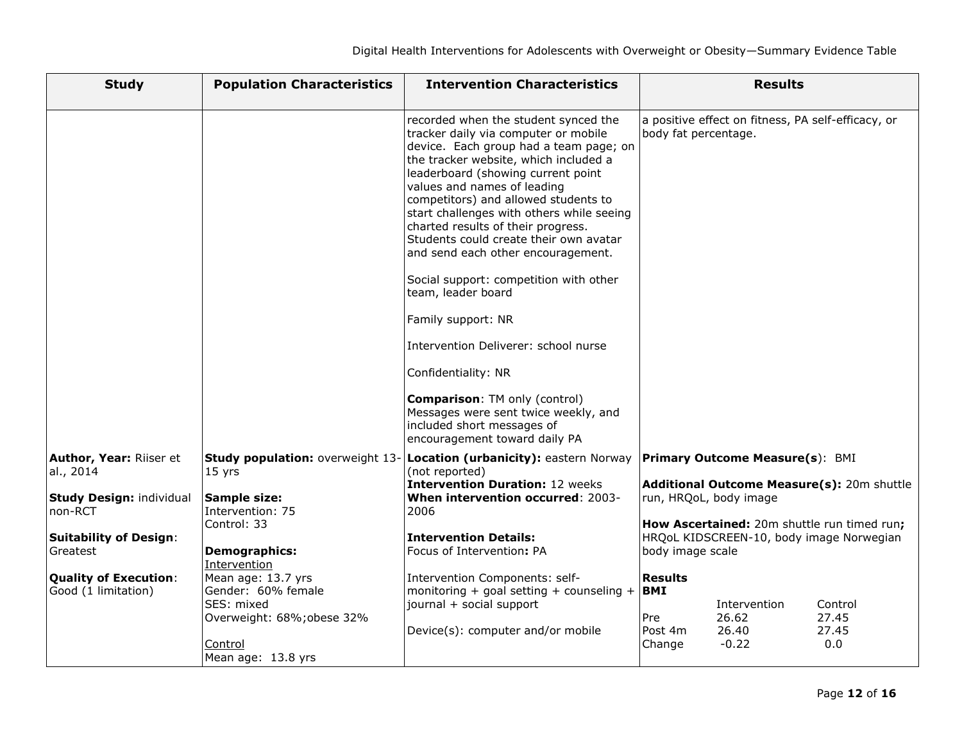| <b>Study</b>                                        | <b>Population Characteristics</b>                                                               | <b>Intervention Characteristics</b>                                                                                                                                                                                                                                                                                                                                                                                                                                                                                                                                                                                                                                                                                                                 |                                                          | <b>Results</b>                                     |                                             |
|-----------------------------------------------------|-------------------------------------------------------------------------------------------------|-----------------------------------------------------------------------------------------------------------------------------------------------------------------------------------------------------------------------------------------------------------------------------------------------------------------------------------------------------------------------------------------------------------------------------------------------------------------------------------------------------------------------------------------------------------------------------------------------------------------------------------------------------------------------------------------------------------------------------------------------------|----------------------------------------------------------|----------------------------------------------------|---------------------------------------------|
|                                                     |                                                                                                 | recorded when the student synced the<br>tracker daily via computer or mobile<br>device. Each group had a team page; on<br>the tracker website, which included a<br>leaderboard (showing current point<br>values and names of leading<br>competitors) and allowed students to<br>start challenges with others while seeing<br>charted results of their progress.<br>Students could create their own avatar<br>and send each other encouragement.<br>Social support: competition with other<br>team, leader board<br>Family support: NR<br>Intervention Deliverer: school nurse<br>Confidentiality: NR<br><b>Comparison: TM only (control)</b><br>Messages were sent twice weekly, and<br>included short messages of<br>encouragement toward daily PA | body fat percentage.                                     | a positive effect on fitness, PA self-efficacy, or |                                             |
| Author, Year: Riiser et                             | Study population: overweight 13                                                                 | Location (urbanicity): eastern Norway                                                                                                                                                                                                                                                                                                                                                                                                                                                                                                                                                                                                                                                                                                               |                                                          | Primary Outcome Measure(s): BMI                    |                                             |
| al., 2014                                           | 15 yrs                                                                                          | (not reported)<br><b>Intervention Duration: 12 weeks</b>                                                                                                                                                                                                                                                                                                                                                                                                                                                                                                                                                                                                                                                                                            |                                                          |                                                    | Additional Outcome Measure(s): 20m shuttle  |
| <b>Study Design: individual</b>                     | <b>Sample size:</b>                                                                             | When intervention occurred: 2003-                                                                                                                                                                                                                                                                                                                                                                                                                                                                                                                                                                                                                                                                                                                   |                                                          | run, HRQoL, body image                             |                                             |
| non-RCT                                             | Intervention: 75<br>Control: 33                                                                 | 2006                                                                                                                                                                                                                                                                                                                                                                                                                                                                                                                                                                                                                                                                                                                                                |                                                          |                                                    | How Ascertained: 20m shuttle run timed run; |
| <b>Suitability of Design:</b>                       |                                                                                                 | <b>Intervention Details:</b>                                                                                                                                                                                                                                                                                                                                                                                                                                                                                                                                                                                                                                                                                                                        |                                                          |                                                    | HRQoL KIDSCREEN-10, body image Norwegian    |
| Greatest                                            | Demographics:<br>Intervention                                                                   | Focus of Intervention: PA                                                                                                                                                                                                                                                                                                                                                                                                                                                                                                                                                                                                                                                                                                                           | body image scale                                         |                                                    |                                             |
| <b>Quality of Execution:</b><br>Good (1 limitation) | Mean age: 13.7 yrs<br>Gender: 60% female<br>SES: mixed<br>Overweight: 68%; obese 32%<br>Control | Intervention Components: self-<br>monitoring + goal setting + counseling +<br>journal + social support<br>Device(s): computer and/or mobile                                                                                                                                                                                                                                                                                                                                                                                                                                                                                                                                                                                                         | <b>Results</b><br><b>BMI</b><br>Pre<br>Post 4m<br>Change | Intervention<br>26.62<br>26.40<br>$-0.22$          | Control<br>27.45<br>27.45<br>0.0            |
|                                                     | Mean age: 13.8 yrs                                                                              |                                                                                                                                                                                                                                                                                                                                                                                                                                                                                                                                                                                                                                                                                                                                                     |                                                          |                                                    |                                             |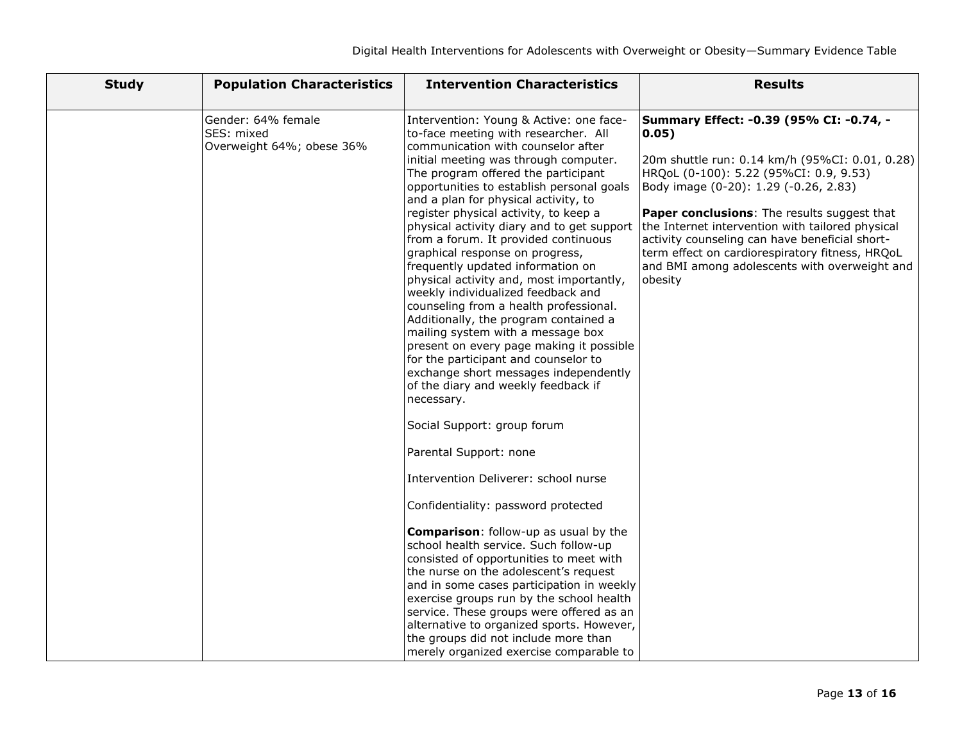| <b>Study</b> | <b>Population Characteristics</b>                             | <b>Intervention Characteristics</b>                                                                                                                                                                                                                                                                                                                                                                                                                                                                                                                                                                                                                                                                                                                                                                                                                                                                                                                                                                                                                                                                                                                                                                                                                                                                                                                                                                                                                                                     | <b>Results</b>                                                                                                                                                                                                                                                                                                                                                                                                                                                    |
|--------------|---------------------------------------------------------------|-----------------------------------------------------------------------------------------------------------------------------------------------------------------------------------------------------------------------------------------------------------------------------------------------------------------------------------------------------------------------------------------------------------------------------------------------------------------------------------------------------------------------------------------------------------------------------------------------------------------------------------------------------------------------------------------------------------------------------------------------------------------------------------------------------------------------------------------------------------------------------------------------------------------------------------------------------------------------------------------------------------------------------------------------------------------------------------------------------------------------------------------------------------------------------------------------------------------------------------------------------------------------------------------------------------------------------------------------------------------------------------------------------------------------------------------------------------------------------------------|-------------------------------------------------------------------------------------------------------------------------------------------------------------------------------------------------------------------------------------------------------------------------------------------------------------------------------------------------------------------------------------------------------------------------------------------------------------------|
|              | Gender: 64% female<br>SES: mixed<br>Overweight 64%; obese 36% | Intervention: Young & Active: one face-<br>to-face meeting with researcher. All<br>communication with counselor after<br>initial meeting was through computer.<br>The program offered the participant<br>opportunities to establish personal goals<br>and a plan for physical activity, to<br>register physical activity, to keep a<br>physical activity diary and to get support<br>from a forum. It provided continuous<br>graphical response on progress,<br>frequently updated information on<br>physical activity and, most importantly,<br>weekly individualized feedback and<br>counseling from a health professional.<br>Additionally, the program contained a<br>mailing system with a message box<br>present on every page making it possible<br>for the participant and counselor to<br>exchange short messages independently<br>of the diary and weekly feedback if<br>necessary.<br>Social Support: group forum<br>Parental Support: none<br>Intervention Deliverer: school nurse<br>Confidentiality: password protected<br><b>Comparison:</b> follow-up as usual by the<br>school health service. Such follow-up<br>consisted of opportunities to meet with<br>the nurse on the adolescent's request<br>and in some cases participation in weekly<br>exercise groups run by the school health<br>service. These groups were offered as an<br>alternative to organized sports. However,<br>the groups did not include more than<br>merely organized exercise comparable to | Summary Effect: -0.39 (95% CI: -0.74, -<br> 0.05)<br>20m shuttle run: 0.14 km/h (95%CI: 0.01, 0.28)<br>HRQoL (0-100): 5.22 (95%CI: 0.9, 9.53)<br>Body image (0-20): 1.29 (-0.26, 2.83)<br><b>Paper conclusions:</b> The results suggest that<br>the Internet intervention with tailored physical<br>activity counseling can have beneficial short-<br>term effect on cardiorespiratory fitness, HRQoL<br>and BMI among adolescents with overweight and<br>obesity |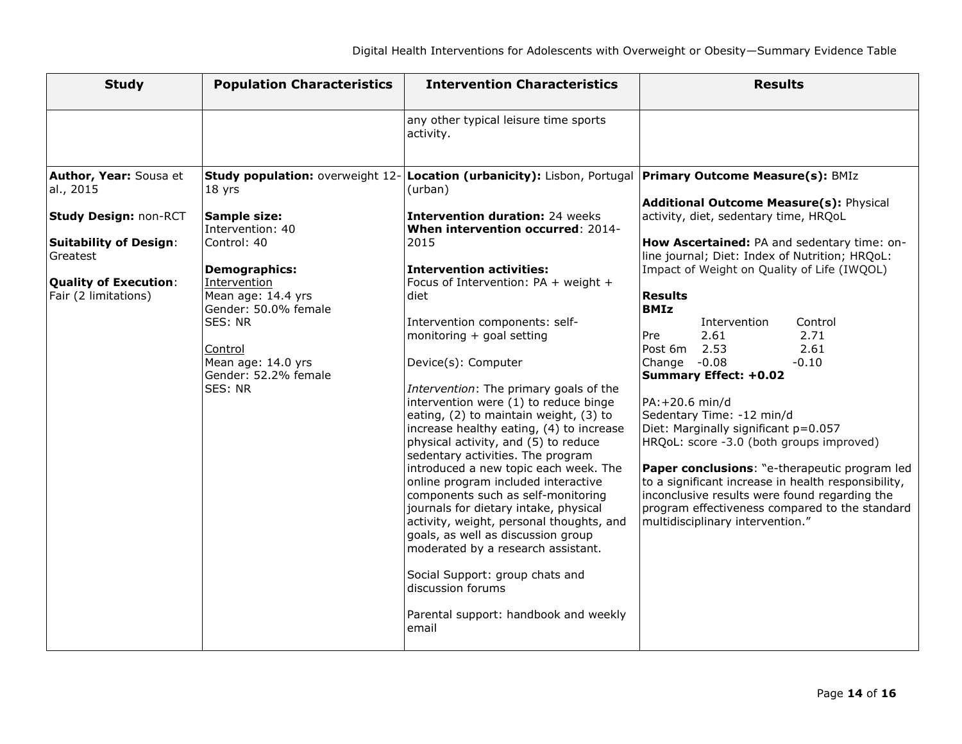| <b>Study</b>                                                                                                                                                             | <b>Population Characteristics</b>                                                                                                                                                                                                                                  | <b>Intervention Characteristics</b>                                                                                                                                                                                                                                                                                                                                                                                                                                                                                                                                                                                                                                                                                                                                                                                                                                                                                                                                                                        | <b>Results</b>                                                                                                                                                                                                                                                                                                                                                                                                                                                                                                                                                                                                                                                                                                                                                                                    |
|--------------------------------------------------------------------------------------------------------------------------------------------------------------------------|--------------------------------------------------------------------------------------------------------------------------------------------------------------------------------------------------------------------------------------------------------------------|------------------------------------------------------------------------------------------------------------------------------------------------------------------------------------------------------------------------------------------------------------------------------------------------------------------------------------------------------------------------------------------------------------------------------------------------------------------------------------------------------------------------------------------------------------------------------------------------------------------------------------------------------------------------------------------------------------------------------------------------------------------------------------------------------------------------------------------------------------------------------------------------------------------------------------------------------------------------------------------------------------|---------------------------------------------------------------------------------------------------------------------------------------------------------------------------------------------------------------------------------------------------------------------------------------------------------------------------------------------------------------------------------------------------------------------------------------------------------------------------------------------------------------------------------------------------------------------------------------------------------------------------------------------------------------------------------------------------------------------------------------------------------------------------------------------------|
|                                                                                                                                                                          |                                                                                                                                                                                                                                                                    | any other typical leisure time sports<br>activity.                                                                                                                                                                                                                                                                                                                                                                                                                                                                                                                                                                                                                                                                                                                                                                                                                                                                                                                                                         |                                                                                                                                                                                                                                                                                                                                                                                                                                                                                                                                                                                                                                                                                                                                                                                                   |
| Author, Year: Sousa et<br>al., 2015<br><b>Study Design: non-RCT</b><br><b>Suitability of Design:</b><br>Greatest<br><b>Quality of Execution:</b><br>Fair (2 limitations) | Study population: overweight 12-<br>18 yrs<br>Sample size:<br>Intervention: 40<br>Control: 40<br><b>Demographics:</b><br>Intervention<br>Mean age: 14.4 yrs<br>Gender: 50.0% female<br>SES: NR<br>Control<br>Mean age: 14.0 yrs<br>Gender: 52.2% female<br>SES: NR | Location (urbanicity): Lisbon, Portugal Primary Outcome Measure(s): BMIz<br>(urban)<br><b>Intervention duration: 24 weeks</b><br>When intervention occurred: 2014-<br>2015<br><b>Intervention activities:</b><br>Focus of Intervention: PA + weight +<br>diet<br>Intervention components: self-<br>monitoring + goal setting<br>Device(s): Computer<br>Intervention: The primary goals of the<br>intervention were (1) to reduce binge<br>eating, (2) to maintain weight, (3) to<br>increase healthy eating, (4) to increase<br>physical activity, and (5) to reduce<br>sedentary activities. The program<br>introduced a new topic each week. The<br>online program included interactive<br>components such as self-monitoring<br>journals for dietary intake, physical<br>activity, weight, personal thoughts, and<br>goals, as well as discussion group<br>moderated by a research assistant.<br>Social Support: group chats and<br>discussion forums<br>Parental support: handbook and weekly<br>email | Additional Outcome Measure(s): Physical<br>activity, diet, sedentary time, HRQoL<br>How Ascertained: PA and sedentary time: on-<br>line journal; Diet: Index of Nutrition; HRQoL:<br>Impact of Weight on Quality of Life (IWQOL)<br><b>Results</b><br><b>BMIz</b><br>Intervention<br>Control<br>2.61<br>2.71<br>Pre<br>Post 6m<br>2.53<br>2.61<br>$-0.08$<br>Change<br>$-0.10$<br><b>Summary Effect: +0.02</b><br>PA: +20.6 min/d<br>Sedentary Time: -12 min/d<br>Diet: Marginally significant p=0.057<br>HRQoL: score -3.0 (both groups improved)<br>Paper conclusions: "e-therapeutic program led<br>to a significant increase in health responsibility,<br>inconclusive results were found regarding the<br>program effectiveness compared to the standard<br>multidisciplinary intervention." |
|                                                                                                                                                                          |                                                                                                                                                                                                                                                                    |                                                                                                                                                                                                                                                                                                                                                                                                                                                                                                                                                                                                                                                                                                                                                                                                                                                                                                                                                                                                            |                                                                                                                                                                                                                                                                                                                                                                                                                                                                                                                                                                                                                                                                                                                                                                                                   |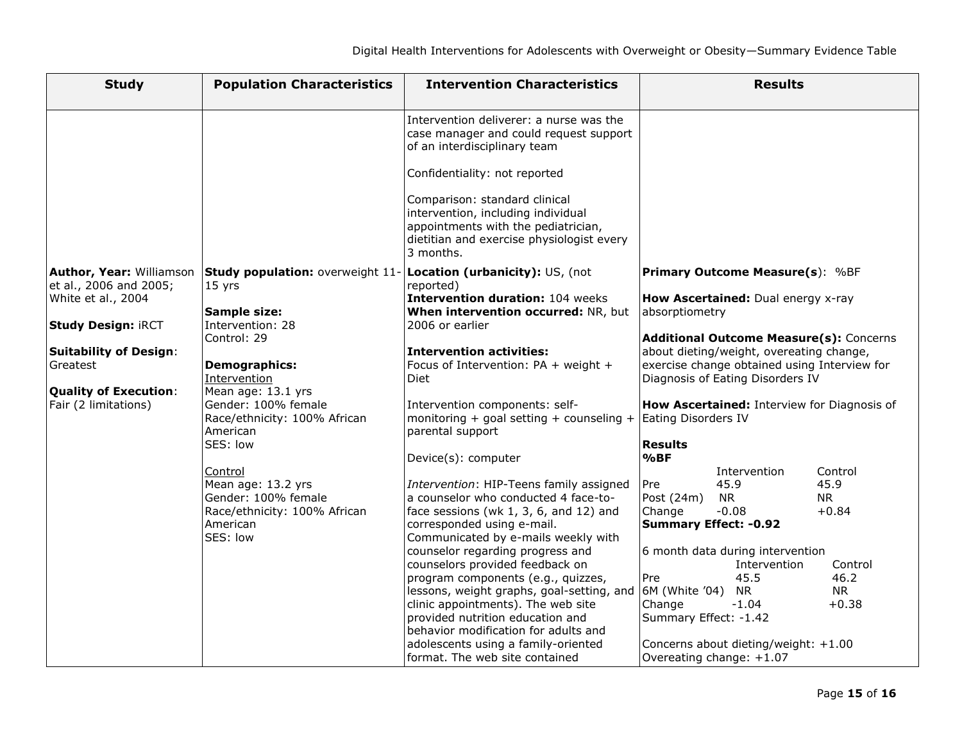| <b>Study</b>                                                                                                                                                                                               | <b>Population Characteristics</b>                                                                                                                                                                                                                                                                                                                          | <b>Intervention Characteristics</b>                                                                                                                                                                                                                                                                                                                                                                                                                                                                                                                                                                                                                                                                                                                                                                                                               | <b>Results</b>                                                                                                                                                                                                                                                                                                                                                                                                                                                                                                                                                                                                                                                                                        |
|------------------------------------------------------------------------------------------------------------------------------------------------------------------------------------------------------------|------------------------------------------------------------------------------------------------------------------------------------------------------------------------------------------------------------------------------------------------------------------------------------------------------------------------------------------------------------|---------------------------------------------------------------------------------------------------------------------------------------------------------------------------------------------------------------------------------------------------------------------------------------------------------------------------------------------------------------------------------------------------------------------------------------------------------------------------------------------------------------------------------------------------------------------------------------------------------------------------------------------------------------------------------------------------------------------------------------------------------------------------------------------------------------------------------------------------|-------------------------------------------------------------------------------------------------------------------------------------------------------------------------------------------------------------------------------------------------------------------------------------------------------------------------------------------------------------------------------------------------------------------------------------------------------------------------------------------------------------------------------------------------------------------------------------------------------------------------------------------------------------------------------------------------------|
|                                                                                                                                                                                                            |                                                                                                                                                                                                                                                                                                                                                            | Intervention deliverer: a nurse was the<br>case manager and could request support<br>of an interdisciplinary team<br>Confidentiality: not reported<br>Comparison: standard clinical<br>intervention, including individual<br>appointments with the pediatrician,<br>dietitian and exercise physiologist every<br>3 months.                                                                                                                                                                                                                                                                                                                                                                                                                                                                                                                        |                                                                                                                                                                                                                                                                                                                                                                                                                                                                                                                                                                                                                                                                                                       |
| Author, Year: Williamson<br>et al., 2006 and 2005;<br>White et al., 2004<br><b>Study Design: iRCT</b><br><b>Suitability of Design:</b><br>Greatest<br><b>Quality of Execution:</b><br>Fair (2 limitations) | Study population: overweight 11-<br>15 yrs<br>Sample size:<br>Intervention: 28<br>Control: 29<br><b>Demographics:</b><br>Intervention<br>Mean age: 13.1 yrs<br>Gender: 100% female<br>Race/ethnicity: 100% African<br>American<br>SES: low<br>Control<br>Mean age: 13.2 yrs<br>Gender: 100% female<br>Race/ethnicity: 100% African<br>American<br>SES: low | Location (urbanicity): US, (not<br>reported)<br>Intervention duration: 104 weeks<br>When intervention occurred: NR, but<br>2006 or earlier<br><b>Intervention activities:</b><br>Focus of Intervention: PA + weight +<br><b>Diet</b><br>Intervention components: self-<br>monitoring + goal setting + counseling +<br>parental support<br>Device(s): computer<br>Intervention: HIP-Teens family assigned<br>a counselor who conducted 4 face-to-<br>face sessions (wk $1, 3, 6$ , and $12$ ) and<br>corresponded using e-mail.<br>Communicated by e-mails weekly with<br>counselor regarding progress and<br>counselors provided feedback on<br>program components (e.g., quizzes,<br>lessons, weight graphs, goal-setting, and<br>clinic appointments). The web site<br>provided nutrition education and<br>behavior modification for adults and | <b>Primary Outcome Measure(s): %BF</b><br>How Ascertained: Dual energy x-ray<br>absorptiometry<br>Additional Outcome Measure(s): Concerns<br>about dieting/weight, overeating change,<br>exercise change obtained using Interview for<br>Diagnosis of Eating Disorders IV<br>How Ascertained: Interview for Diagnosis of<br>Eating Disorders IV<br><b>Results</b><br>%BF<br>Intervention<br>Control<br>45.9<br>45.9<br>Pre<br>Post (24m)<br>NR.<br>NR.<br>Change<br>$-0.08$<br>$+0.84$<br><b>Summary Effect: -0.92</b><br>6 month data during intervention<br>Intervention<br>Control<br>Pre<br>45.5<br>46.2<br>6M (White '04)<br>NR.<br>NR.<br>Change<br>$-1.04$<br>$+0.38$<br>Summary Effect: -1.42 |
|                                                                                                                                                                                                            |                                                                                                                                                                                                                                                                                                                                                            | adolescents using a family-oriented<br>format. The web site contained                                                                                                                                                                                                                                                                                                                                                                                                                                                                                                                                                                                                                                                                                                                                                                             | Concerns about dieting/weight: +1.00<br>Overeating change: +1.07                                                                                                                                                                                                                                                                                                                                                                                                                                                                                                                                                                                                                                      |